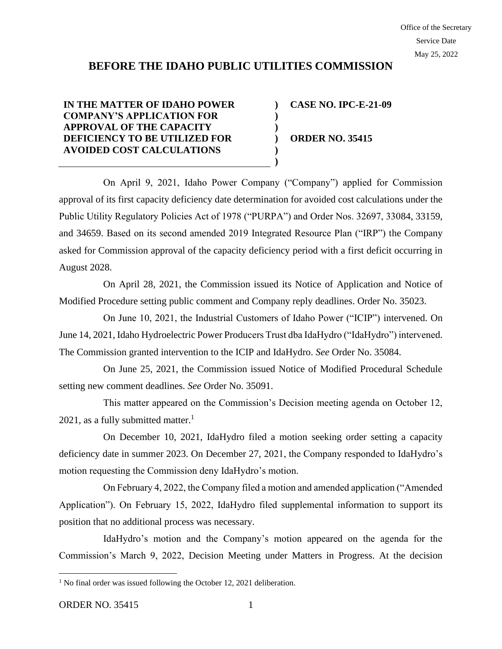# **BEFORE THE IDAHO PUBLIC UTILITIES COMMISSION**

**) ) ) ) ) )**

**IN THE MATTER OF IDAHO POWER COMPANY'S APPLICATION FOR APPROVAL OF THE CAPACITY DEFICIENCY TO BE UTILIZED FOR AVOIDED COST CALCULATIONS** 

**CASE NO. IPC-E-21-09 ORDER NO. 35415**

On April 9, 2021, Idaho Power Company ("Company") applied for Commission approval of its first capacity deficiency date determination for avoided cost calculations under the Public Utility Regulatory Policies Act of 1978 ("PURPA") and Order Nos. 32697, 33084, 33159, and 34659. Based on its second amended 2019 Integrated Resource Plan ("IRP") the Company asked for Commission approval of the capacity deficiency period with a first deficit occurring in August 2028.

On April 28, 2021, the Commission issued its Notice of Application and Notice of Modified Procedure setting public comment and Company reply deadlines. Order No. 35023.

On June 10, 2021, the Industrial Customers of Idaho Power ("ICIP") intervened. On June 14, 2021, Idaho Hydroelectric Power Producers Trust dba IdaHydro ("IdaHydro") intervened. The Commission granted intervention to the ICIP and IdaHydro. *See* Order No. 35084.

On June 25, 2021, the Commission issued Notice of Modified Procedural Schedule setting new comment deadlines. *See* Order No. 35091.

This matter appeared on the Commission's Decision meeting agenda on October 12, 2021, as a fully submitted matter.<sup>1</sup>

On December 10, 2021, IdaHydro filed a motion seeking order setting a capacity deficiency date in summer 2023. On December 27, 2021, the Company responded to IdaHydro's motion requesting the Commission deny IdaHydro's motion.

On February 4, 2022, the Company filed a motion and amended application ("Amended Application"). On February 15, 2022, IdaHydro filed supplemental information to support its position that no additional process was necessary.

IdaHydro's motion and the Company's motion appeared on the agenda for the Commission's March 9, 2022, Decision Meeting under Matters in Progress. At the decision

<sup>&</sup>lt;sup>1</sup> No final order was issued following the October 12, 2021 deliberation.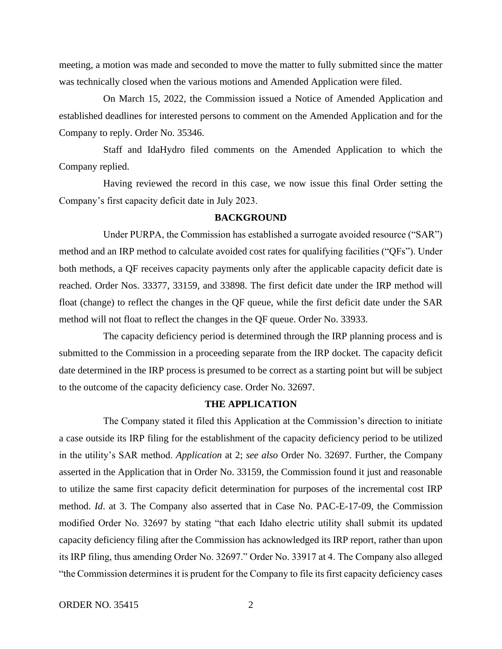meeting, a motion was made and seconded to move the matter to fully submitted since the matter was technically closed when the various motions and Amended Application were filed.

On March 15, 2022, the Commission issued a Notice of Amended Application and established deadlines for interested persons to comment on the Amended Application and for the Company to reply. Order No. 35346.

Staff and IdaHydro filed comments on the Amended Application to which the Company replied.

Having reviewed the record in this case, we now issue this final Order setting the Company's first capacity deficit date in July 2023.

#### **BACKGROUND**

Under PURPA, the Commission has established a surrogate avoided resource ("SAR") method and an IRP method to calculate avoided cost rates for qualifying facilities ("QFs"). Under both methods, a QF receives capacity payments only after the applicable capacity deficit date is reached. Order Nos. 33377, 33159, and 33898. The first deficit date under the IRP method will float (change) to reflect the changes in the QF queue, while the first deficit date under the SAR method will not float to reflect the changes in the QF queue. Order No. 33933.

The capacity deficiency period is determined through the IRP planning process and is submitted to the Commission in a proceeding separate from the IRP docket. The capacity deficit date determined in the IRP process is presumed to be correct as a starting point but will be subject to the outcome of the capacity deficiency case. Order No. 32697.

#### **THE APPLICATION**

The Company stated it filed this Application at the Commission's direction to initiate a case outside its IRP filing for the establishment of the capacity deficiency period to be utilized in the utility's SAR method. *Application* at 2; *see also* Order No. 32697. Further, the Company asserted in the Application that in Order No. 33159, the Commission found it just and reasonable to utilize the same first capacity deficit determination for purposes of the incremental cost IRP method. *Id*. at 3. The Company also asserted that in Case No. PAC-E-17-09, the Commission modified Order No. 32697 by stating "that each Idaho electric utility shall submit its updated capacity deficiency filing after the Commission has acknowledged its IRP report, rather than upon its IRP filing, thus amending Order No. 32697." Order No. 33917 at 4. The Company also alleged "the Commission determines it is prudent for the Company to file its first capacity deficiency cases

ORDER NO. 35415 2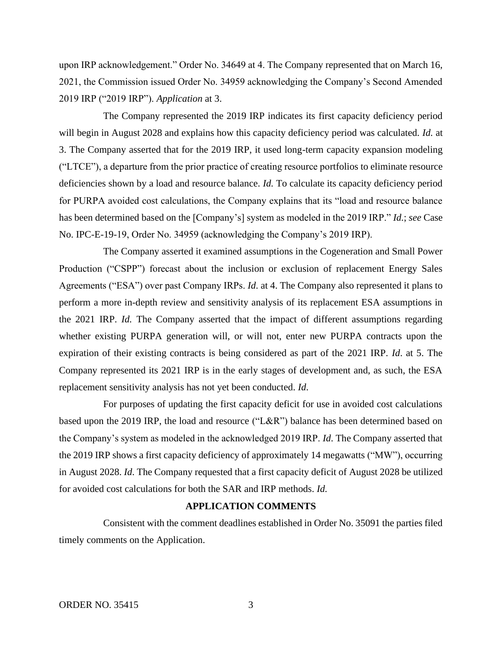upon IRP acknowledgement." Order No. 34649 at 4. The Company represented that on March 16, 2021, the Commission issued Order No. 34959 acknowledging the Company's Second Amended 2019 IRP ("2019 IRP"). *Application* at 3.

The Company represented the 2019 IRP indicates its first capacity deficiency period will begin in August 2028 and explains how this capacity deficiency period was calculated. *Id.* at 3. The Company asserted that for the 2019 IRP, it used long-term capacity expansion modeling ("LTCE"), a departure from the prior practice of creating resource portfolios to eliminate resource deficiencies shown by a load and resource balance. *Id.* To calculate its capacity deficiency period for PURPA avoided cost calculations, the Company explains that its "load and resource balance has been determined based on the [Company's] system as modeled in the 2019 IRP." *Id.*; *see* Case No. IPC-E-19-19, Order No. 34959 (acknowledging the Company's 2019 IRP).

The Company asserted it examined assumptions in the Cogeneration and Small Power Production ("CSPP") forecast about the inclusion or exclusion of replacement Energy Sales Agreements ("ESA") over past Company IRPs. *Id*. at 4. The Company also represented it plans to perform a more in-depth review and sensitivity analysis of its replacement ESA assumptions in the 2021 IRP. *Id.* The Company asserted that the impact of different assumptions regarding whether existing PURPA generation will, or will not, enter new PURPA contracts upon the expiration of their existing contracts is being considered as part of the 2021 IRP. *Id*. at 5. The Company represented its 2021 IRP is in the early stages of development and, as such, the ESA replacement sensitivity analysis has not yet been conducted. *Id*.

For purposes of updating the first capacity deficit for use in avoided cost calculations based upon the 2019 IRP, the load and resource ("L&R") balance has been determined based on the Company's system as modeled in the acknowledged 2019 IRP. *Id*. The Company asserted that the 2019 IRP shows a first capacity deficiency of approximately 14 megawatts ("MW"), occurring in August 2028. *Id*. The Company requested that a first capacity deficit of August 2028 be utilized for avoided cost calculations for both the SAR and IRP methods. *Id.*

### **APPLICATION COMMENTS**

Consistent with the comment deadlines established in Order No. 35091 the parties filed timely comments on the Application.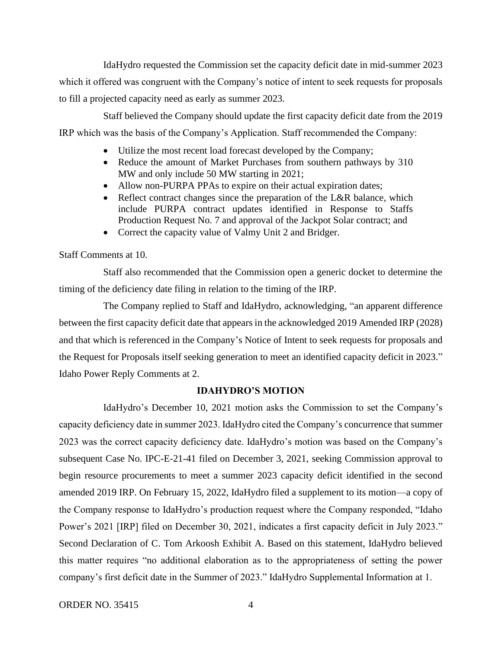IdaHydro requested the Commission set the capacity deficit date in mid-summer 2023 which it offered was congruent with the Company's notice of intent to seek requests for proposals to fill a projected capacity need as early as summer 2023.

Staff believed the Company should update the first capacity deficit date from the 2019 IRP which was the basis of the Company's Application. Staff recommended the Company:

- Utilize the most recent load forecast developed by the Company;
- Reduce the amount of Market Purchases from southern pathways by 310 MW and only include 50 MW starting in 2021;
- Allow non-PURPA PPAs to expire on their actual expiration dates;
- Reflect contract changes since the preparation of the L&R balance, which include PURPA contract updates identified in Response to Staffs Production Request No. 7 and approval of the Jackpot Solar contract; and
- Correct the capacity value of Valmy Unit 2 and Bridger.

Staff Comments at 10.

Staff also recommended that the Commission open a generic docket to determine the timing of the deficiency date filing in relation to the timing of the IRP.

The Company replied to Staff and IdaHydro, acknowledging, "an apparent difference between the first capacity deficit date that appears in the acknowledged 2019 Amended IRP (2028) and that which is referenced in the Company's Notice of Intent to seek requests for proposals and the Request for Proposals itself seeking generation to meet an identified capacity deficit in 2023." Idaho Power Reply Comments at 2.

#### **IDAHYDRO'S MOTION**

IdaHydro's December 10, 2021 motion asks the Commission to set the Company's capacity deficiency date in summer 2023. IdaHydro cited the Company's concurrence that summer 2023 was the correct capacity deficiency date. IdaHydro's motion was based on the Company's subsequent Case No. IPC-E-21-41 filed on December 3, 2021, seeking Commission approval to begin resource procurements to meet a summer 2023 capacity deficit identified in the second amended 2019 IRP. On February 15, 2022, IdaHydro filed a supplement to its motion—a copy of the Company response to IdaHydro's production request where the Company responded, "Idaho Power's 2021 [IRP] filed on December 30, 2021, indicates a first capacity deficit in July 2023." Second Declaration of C. Tom Arkoosh Exhibit A. Based on this statement, IdaHydro believed this matter requires "no additional elaboration as to the appropriateness of setting the power company's first deficit date in the Summer of 2023." IdaHydro Supplemental Information at 1.

ORDER NO. 35415 4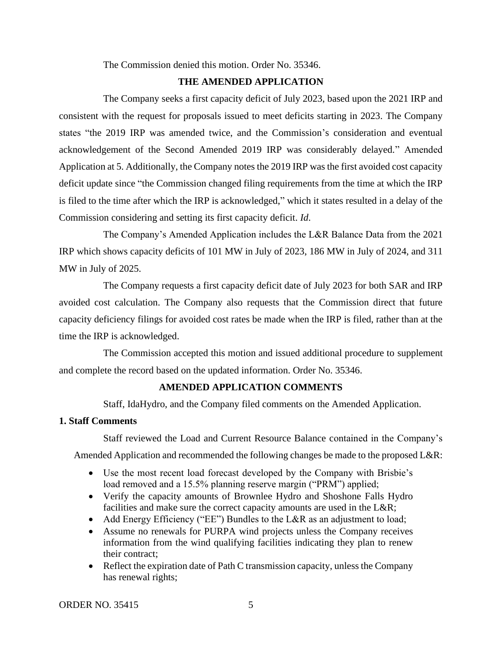The Commission denied this motion. Order No. 35346.

# **THE AMENDED APPLICATION**

The Company seeks a first capacity deficit of July 2023, based upon the 2021 IRP and consistent with the request for proposals issued to meet deficits starting in 2023. The Company states "the 2019 IRP was amended twice, and the Commission's consideration and eventual acknowledgement of the Second Amended 2019 IRP was considerably delayed." Amended Application at 5. Additionally, the Company notes the 2019 IRP was the first avoided cost capacity deficit update since "the Commission changed filing requirements from the time at which the IRP is filed to the time after which the IRP is acknowledged," which it states resulted in a delay of the Commission considering and setting its first capacity deficit. *Id*.

The Company's Amended Application includes the L&R Balance Data from the 2021 IRP which shows capacity deficits of 101 MW in July of 2023, 186 MW in July of 2024, and 311 MW in July of 2025.

The Company requests a first capacity deficit date of July 2023 for both SAR and IRP avoided cost calculation. The Company also requests that the Commission direct that future capacity deficiency filings for avoided cost rates be made when the IRP is filed, rather than at the time the IRP is acknowledged.

The Commission accepted this motion and issued additional procedure to supplement and complete the record based on the updated information. Order No. 35346.

## **AMENDED APPLICATION COMMENTS**

Staff, IdaHydro, and the Company filed comments on the Amended Application.

# **1. Staff Comments**

Staff reviewed the Load and Current Resource Balance contained in the Company's

Amended Application and recommended the following changes be made to the proposed L&R:

- Use the most recent load forecast developed by the Company with Brisbie's load removed and a 15.5% planning reserve margin ("PRM") applied;
- Verify the capacity amounts of Brownlee Hydro and Shoshone Falls Hydro facilities and make sure the correct capacity amounts are used in the L&R;
- Add Energy Efficiency ("EE") Bundles to the L&R as an adjustment to load;
- Assume no renewals for PURPA wind projects unless the Company receives information from the wind qualifying facilities indicating they plan to renew their contract;
- Reflect the expiration date of Path C transmission capacity, unless the Company has renewal rights;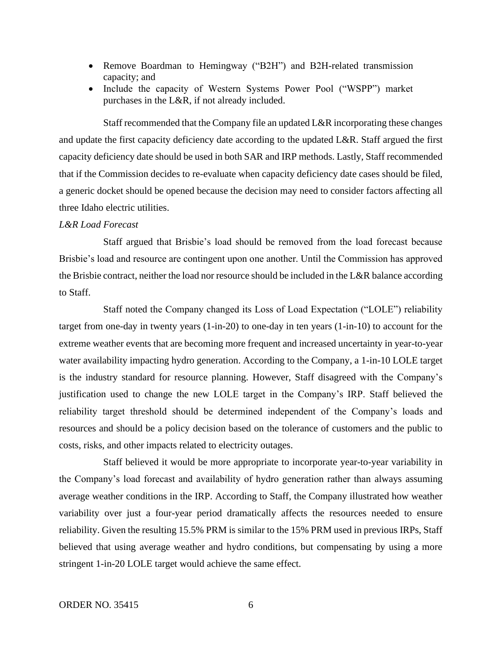- Remove Boardman to Hemingway ("B2H") and B2H-related transmission capacity; and
- Include the capacity of Western Systems Power Pool ("WSPP") market purchases in the L&R, if not already included.

Staff recommended that the Company file an updated L&R incorporating these changes and update the first capacity deficiency date according to the updated L&R. Staff argued the first capacity deficiency date should be used in both SAR and IRP methods. Lastly, Staff recommended that if the Commission decides to re-evaluate when capacity deficiency date cases should be filed, a generic docket should be opened because the decision may need to consider factors affecting all three Idaho electric utilities.

### *L&R Load Forecast*

Staff argued that Brisbie's load should be removed from the load forecast because Brisbie's load and resource are contingent upon one another. Until the Commission has approved the Brisbie contract, neither the load nor resource should be included in the L&R balance according to Staff.

Staff noted the Company changed its Loss of Load Expectation ("LOLE") reliability target from one-day in twenty years (1-in-20) to one-day in ten years (1-in-10) to account for the extreme weather events that are becoming more frequent and increased uncertainty in year-to-year water availability impacting hydro generation. According to the Company, a 1-in-10 LOLE target is the industry standard for resource planning. However, Staff disagreed with the Company's justification used to change the new LOLE target in the Company's IRP. Staff believed the reliability target threshold should be determined independent of the Company's loads and resources and should be a policy decision based on the tolerance of customers and the public to costs, risks, and other impacts related to electricity outages.

Staff believed it would be more appropriate to incorporate year-to-year variability in the Company's load forecast and availability of hydro generation rather than always assuming average weather conditions in the IRP. According to Staff, the Company illustrated how weather variability over just a four-year period dramatically affects the resources needed to ensure reliability. Given the resulting 15.5% PRM is similar to the 15% PRM used in previous IRPs, Staff believed that using average weather and hydro conditions, but compensating by using a more stringent 1-in-20 LOLE target would achieve the same effect.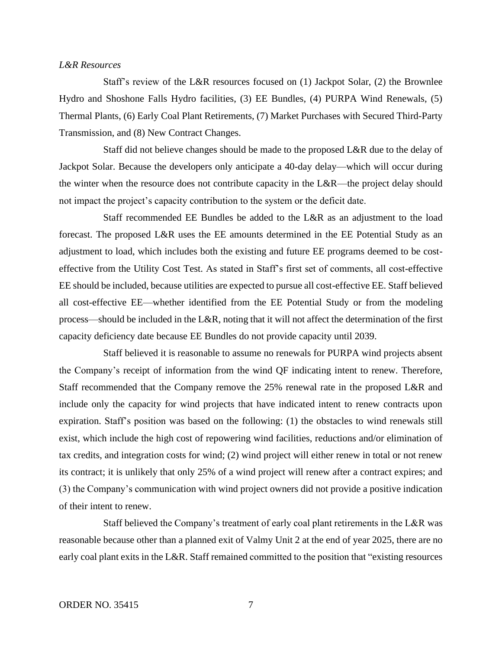#### *L&R Resources*

Staff's review of the L&R resources focused on (1) Jackpot Solar, (2) the Brownlee Hydro and Shoshone Falls Hydro facilities, (3) EE Bundles, (4) PURPA Wind Renewals, (5) Thermal Plants, (6) Early Coal Plant Retirements, (7) Market Purchases with Secured Third-Party Transmission, and (8) New Contract Changes.

Staff did not believe changes should be made to the proposed L&R due to the delay of Jackpot Solar. Because the developers only anticipate a 40-day delay—which will occur during the winter when the resource does not contribute capacity in the L&R—the project delay should not impact the project's capacity contribution to the system or the deficit date.

Staff recommended EE Bundles be added to the L&R as an adjustment to the load forecast. The proposed L&R uses the EE amounts determined in the EE Potential Study as an adjustment to load, which includes both the existing and future EE programs deemed to be costeffective from the Utility Cost Test. As stated in Staff's first set of comments, all cost-effective EE should be included, because utilities are expected to pursue all cost-effective EE. Staff believed all cost-effective EE—whether identified from the EE Potential Study or from the modeling process—should be included in the L&R, noting that it will not affect the determination of the first capacity deficiency date because EE Bundles do not provide capacity until 2039.

Staff believed it is reasonable to assume no renewals for PURPA wind projects absent the Company's receipt of information from the wind QF indicating intent to renew. Therefore, Staff recommended that the Company remove the 25% renewal rate in the proposed L&R and include only the capacity for wind projects that have indicated intent to renew contracts upon expiration. Staff's position was based on the following: (1) the obstacles to wind renewals still exist, which include the high cost of repowering wind facilities, reductions and/or elimination of tax credits, and integration costs for wind; (2) wind project will either renew in total or not renew its contract; it is unlikely that only 25% of a wind project will renew after a contract expires; and (3) the Company's communication with wind project owners did not provide a positive indication of their intent to renew.

Staff believed the Company's treatment of early coal plant retirements in the L&R was reasonable because other than a planned exit of Valmy Unit 2 at the end of year 2025, there are no early coal plant exits in the L&R. Staff remained committed to the position that "existing resources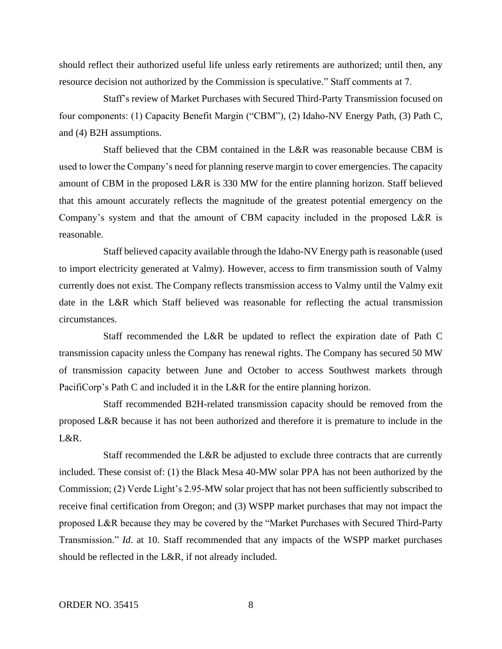should reflect their authorized useful life unless early retirements are authorized; until then, any resource decision not authorized by the Commission is speculative." Staff comments at 7.

Staff's review of Market Purchases with Secured Third-Party Transmission focused on four components: (1) Capacity Benefit Margin ("CBM"), (2) Idaho-NV Energy Path, (3) Path C, and (4) B2H assumptions.

Staff believed that the CBM contained in the L&R was reasonable because CBM is used to lower the Company's need for planning reserve margin to cover emergencies. The capacity amount of CBM in the proposed L&R is 330 MW for the entire planning horizon. Staff believed that this amount accurately reflects the magnitude of the greatest potential emergency on the Company's system and that the amount of CBM capacity included in the proposed L&R is reasonable.

Staff believed capacity available through the Idaho-NV Energy path is reasonable (used to import electricity generated at Valmy). However, access to firm transmission south of Valmy currently does not exist. The Company reflects transmission access to Valmy until the Valmy exit date in the L&R which Staff believed was reasonable for reflecting the actual transmission circumstances.

Staff recommended the L&R be updated to reflect the expiration date of Path C transmission capacity unless the Company has renewal rights. The Company has secured 50 MW of transmission capacity between June and October to access Southwest markets through PacifiCorp's Path C and included it in the L&R for the entire planning horizon.

Staff recommended B2H-related transmission capacity should be removed from the proposed L&R because it has not been authorized and therefore it is premature to include in the L&R.

Staff recommended the L&R be adjusted to exclude three contracts that are currently included. These consist of: (1) the Black Mesa 40-MW solar PPA has not been authorized by the Commission; (2) Verde Light's 2.95-MW solar project that has not been sufficiently subscribed to receive final certification from Oregon; and (3) WSPP market purchases that may not impact the proposed L&R because they may be covered by the "Market Purchases with Secured Third-Party Transmission." *Id*. at 10. Staff recommended that any impacts of the WSPP market purchases should be reflected in the L&R, if not already included.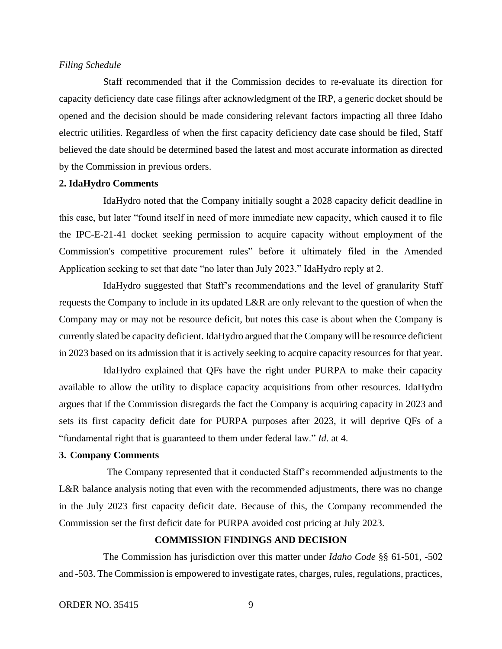### *Filing Schedule*

Staff recommended that if the Commission decides to re-evaluate its direction for capacity deficiency date case filings after acknowledgment of the IRP, a generic docket should be opened and the decision should be made considering relevant factors impacting all three Idaho electric utilities. Regardless of when the first capacity deficiency date case should be filed, Staff believed the date should be determined based the latest and most accurate information as directed by the Commission in previous orders.

#### **2. IdaHydro Comments**

IdaHydro noted that the Company initially sought a 2028 capacity deficit deadline in this case, but later "found itself in need of more immediate new capacity, which caused it to file the IPC-E-21-41 docket seeking permission to acquire capacity without employment of the Commission's competitive procurement rules" before it ultimately filed in the Amended Application seeking to set that date "no later than July 2023." IdaHydro reply at 2.

IdaHydro suggested that Staff's recommendations and the level of granularity Staff requests the Company to include in its updated L&R are only relevant to the question of when the Company may or may not be resource deficit, but notes this case is about when the Company is currently slated be capacity deficient. IdaHydro argued that the Company will be resource deficient in 2023 based on its admission that it is actively seeking to acquire capacity resources for that year.

IdaHydro explained that QFs have the right under PURPA to make their capacity available to allow the utility to displace capacity acquisitions from other resources. IdaHydro argues that if the Commission disregards the fact the Company is acquiring capacity in 2023 and sets its first capacity deficit date for PURPA purposes after 2023, it will deprive QFs of a "fundamental right that is guaranteed to them under federal law." *Id*. at 4.

### **3. Company Comments**

The Company represented that it conducted Staff's recommended adjustments to the L&R balance analysis noting that even with the recommended adjustments, there was no change in the July 2023 first capacity deficit date. Because of this, the Company recommended the Commission set the first deficit date for PURPA avoided cost pricing at July 2023.

### **COMMISSION FINDINGS AND DECISION**

The Commission has jurisdiction over this matter under *Idaho Code* §§ 61-501, -502 and -503. The Commission is empowered to investigate rates, charges, rules, regulations, practices,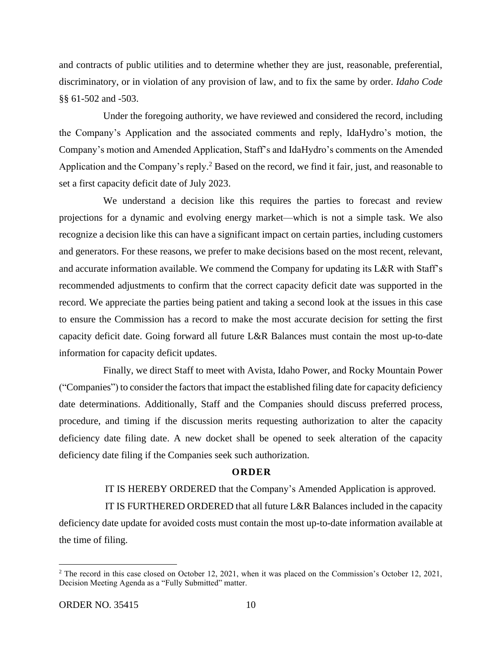and contracts of public utilities and to determine whether they are just, reasonable, preferential, discriminatory, or in violation of any provision of law, and to fix the same by order. *Idaho Code* §§ 61-502 and -503.

Under the foregoing authority, we have reviewed and considered the record, including the Company's Application and the associated comments and reply, IdaHydro's motion, the Company's motion and Amended Application, Staff's and IdaHydro's comments on the Amended Application and the Company's reply.<sup>2</sup> Based on the record, we find it fair, just, and reasonable to set a first capacity deficit date of July 2023.

We understand a decision like this requires the parties to forecast and review projections for a dynamic and evolving energy market—which is not a simple task. We also recognize a decision like this can have a significant impact on certain parties, including customers and generators. For these reasons, we prefer to make decisions based on the most recent, relevant, and accurate information available. We commend the Company for updating its L&R with Staff's recommended adjustments to confirm that the correct capacity deficit date was supported in the record. We appreciate the parties being patient and taking a second look at the issues in this case to ensure the Commission has a record to make the most accurate decision for setting the first capacity deficit date. Going forward all future L&R Balances must contain the most up-to-date information for capacity deficit updates.

Finally, we direct Staff to meet with Avista, Idaho Power, and Rocky Mountain Power ("Companies") to consider the factors that impact the established filing date for capacity deficiency date determinations. Additionally, Staff and the Companies should discuss preferred process, procedure, and timing if the discussion merits requesting authorization to alter the capacity deficiency date filing date. A new docket shall be opened to seek alteration of the capacity deficiency date filing if the Companies seek such authorization.

#### **O R D E R**

### IT IS HEREBY ORDERED that the Company's Amended Application is approved.

IT IS FURTHERED ORDERED that all future  $L&R$  Balances included in the capacity deficiency date update for avoided costs must contain the most up-to-date information available at the time of filing.

<sup>&</sup>lt;sup>2</sup> The record in this case closed on October 12, 2021, when it was placed on the Commission's October 12, 2021, Decision Meeting Agenda as a "Fully Submitted" matter.